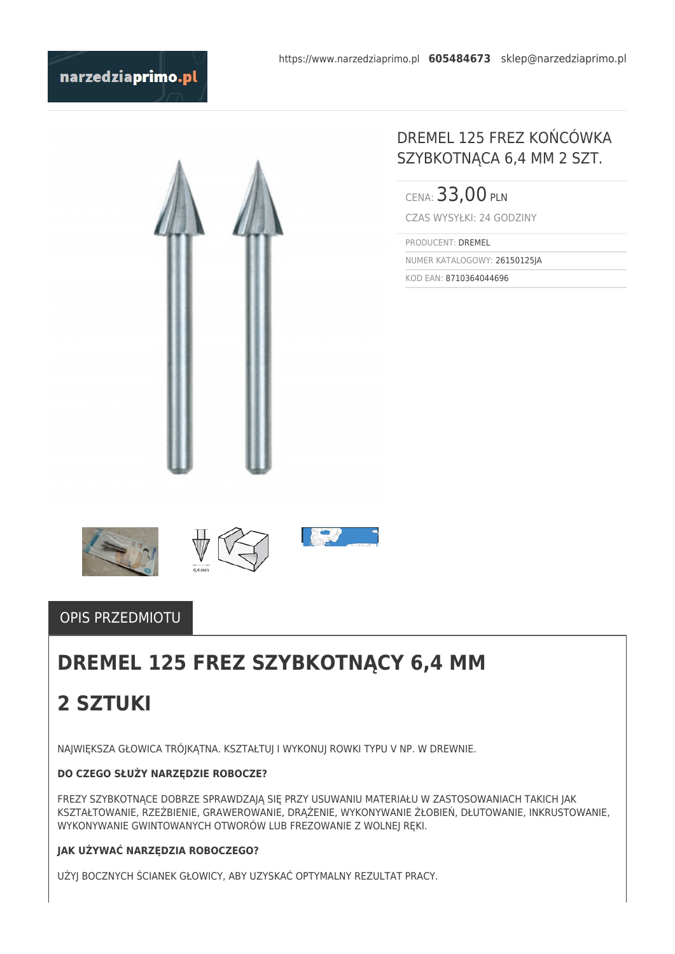



## DREMEL 125 FREZ KOŃCÓWKA SZYBKOTNĄCA 6,4 MM 2 SZT.

CENA: 33,00 PLN CZAS WYSYŁKI: 24 GODZINY

PRODUCENT: DREMEL NUMER KATALOGOWY: 26150125JA

KOD EAN: 8710364044696







### OPIS PRZEDMIOTU

# **DREMEL 125 FREZ SZYBKOTNĄCY 6,4 MM**

# **2 SZTUKI**

NAJWIĘKSZA GŁOWICA TRÓJKĄTNA. KSZTAŁTUJ I WYKONUJ ROWKI TYPU V NP. W DREWNIE.

#### **DO CZEGO SŁUŻY NARZĘDZIE ROBOCZE?**

FREZY SZYBKOTNĄCE DOBRZE SPRAWDZAJĄ SIĘ PRZY USUWANIU MATERIAŁU W ZASTOSOWANIACH TAKICH JAK KSZTAŁTOWANIE, RZEŹBIENIE, GRAWEROWANIE, DRĄŻENIE, WYKONYWANIE ŻŁOBIEŃ, DŁUTOWANIE, INKRUSTOWANIE, WYKONYWANIE GWINTOWANYCH OTWORÓW LUB FREZOWANIE Z WOLNEJ RĘKI.

### **JAK UŻYWAĆ NARZĘDZIA ROBOCZEGO?**

UŻYJ BOCZNYCH ŚCIANEK GŁOWICY, ABY UZYSKAĆ OPTYMALNY REZULTAT PRACY.